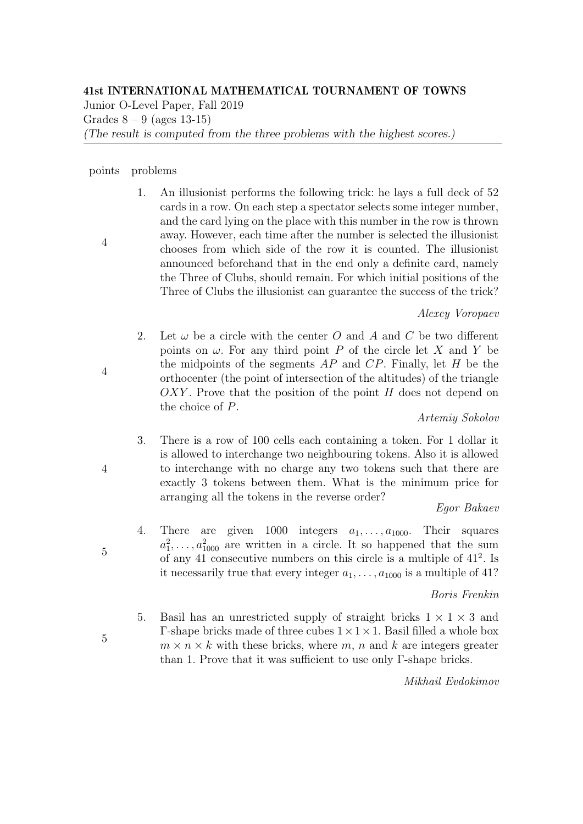# 41st INTERNATIONAL MATHEMATICAL TOURNAMENT OF TOWNS

Junior O-Level Paper, Fall 2019

Grades  $8 - 9$  (ages 13-15)

(The result is computed from the three problems with the highest scores.)

#### points problems

4

4

1. An illusionist performs the following trick: he lays a full deck of 52 cards in a row. On each step a spectator selects some integer number, and the card lying on the place with this number in the row is thrown away. However, each time after the number is selected the illusionist chooses from which side of the row it is counted. The illusionist announced beforehand that in the end only a definite card, namely the Three of Clubs, should remain. For which initial positions of the Three of Clubs the illusionist can guarantee the success of the trick?

## Alexey Voropaev

2. Let  $\omega$  be a circle with the center O and A and C be two different points on  $\omega$ . For any third point P of the circle let X and Y be the midpoints of the segments  $AP$  and  $CP$ . Finally, let H be the orthocenter (the point of intersection of the altitudes) of the triangle  $OXY$ . Prove that the position of the point H does not depend on the choice of P.

## Artemiy Sokolov

3. There is a row of 100 cells each containing a token. For 1 dollar it is allowed to interchange two neighbouring tokens. Also it is allowed to interchange with no charge any two tokens such that there are exactly 3 tokens between them. What is the minimum price for arranging all the tokens in the reverse order?

## Egor Bakaev

4. There are given 1000 integers  $a_1, \ldots, a_{1000}$ . Their squares  $a_1^2, \ldots, a_{1000}^2$  are written in a circle. It so happened that the sum of any 41 consecutive numbers on this circle is a multiple of  $41^2$ . Is it necessarily true that every integer  $a_1, \ldots, a_{1000}$  is a multiple of 41?

## Boris Frenkin

5. Basil has an unrestricted supply of straight bricks  $1 \times 1 \times 3$  and  $\Gamma$ -shape bricks made of three cubes  $1 \times 1 \times 1$ . Basil filled a whole box  $m \times n \times k$  with these bricks, where m, n and k are integers greater than 1. Prove that it was sufficient to use only Γ-shape bricks.

Mikhail Evdokimov

4

5

5